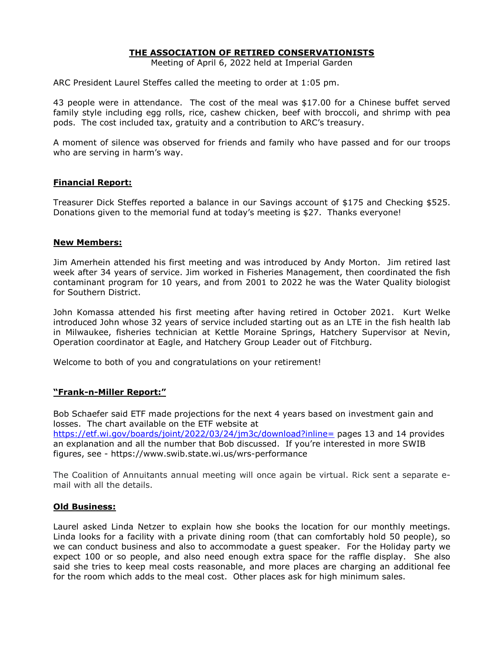# **THE ASSOCIATION OF RETIRED CONSERVATIONISTS**

Meeting of April 6, 2022 held at Imperial Garden

ARC President Laurel Steffes called the meeting to order at 1:05 pm.

43 people were in attendance. The cost of the meal was \$17.00 for a Chinese buffet served family style including egg rolls, rice, cashew chicken, beef with broccoli, and shrimp with pea pods. The cost included tax, gratuity and a contribution to ARC's treasury.

A moment of silence was observed for friends and family who have passed and for our troops who are serving in harm's way.

### **Financial Report:**

Treasurer Dick Steffes reported a balance in our Savings account of \$175 and Checking \$525. Donations given to the memorial fund at today's meeting is \$27. Thanks everyone!

### **New Members:**

Jim Amerhein attended his first meeting and was introduced by Andy Morton. Jim retired last week after 34 years of service. Jim worked in Fisheries Management, then coordinated the fish contaminant program for 10 years, and from 2001 to 2022 he was the Water Quality biologist for Southern District.

John Komassa attended his first meeting after having retired in October 2021. Kurt Welke introduced John whose 32 years of service included starting out as an LTE in the fish health lab in Milwaukee, fisheries technician at Kettle Moraine Springs, Hatchery Supervisor at Nevin, Operation coordinator at Eagle, and Hatchery Group Leader out of Fitchburg.

Welcome to both of you and congratulations on your retirement!

#### **"Frank-n-Miller Report:"**

Bob Schaefer said ETF made projections for the next 4 years based on investment gain and losses. The chart available on the ETF website at https://etf.wi.gov/boards/joint/2022/03/24/jm3c/download?inline= pages 13 and 14 provides an explanation and all the number that Bob discussed. If you're interested in more SWIB figures, see - https://www.swib.state.wi.us/wrs-performance

The Coalition of Annuitants annual meeting will once again be virtual. Rick sent a separate email with all the details.

#### **Old Business:**

Laurel asked Linda Netzer to explain how she books the location for our monthly meetings. Linda looks for a facility with a private dining room (that can comfortably hold 50 people), so we can conduct business and also to accommodate a guest speaker. For the Holiday party we expect 100 or so people, and also need enough extra space for the raffle display. She also said she tries to keep meal costs reasonable, and more places are charging an additional fee for the room which adds to the meal cost. Other places ask for high minimum sales.